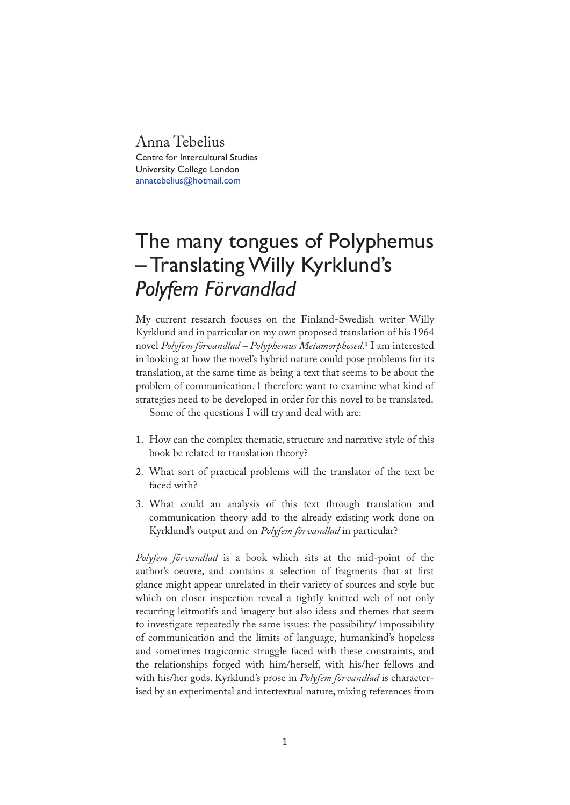## Anna Tebelius

Centre for Intercultural Studies University College London annatebelius@hotmail.com

## The many tongues of Polyphemus – Translating Willy Kyrklund's *Polyfem Förvandlad*

My current research focuses on the Finland-Swedish writer Willy Kyrklund and in particular on my own proposed translation of his 1964 novel *Polyfem förvandlad – Polyphemus Metamorphosed*. 1 I am interested in looking at how the novel's hybrid nature could pose problems for its translation, at the same time as being a text that seems to be about the problem of communication. I therefore want to examine what kind of strategies need to be developed in order for this novel to be translated.

Some of the questions I will try and deal with are:

- 1. How can the complex thematic, structure and narrative style of this book be related to translation theory?
- 2. What sort of practical problems will the translator of the text be faced with?
- 3. What could an analysis of this text through translation and communication theory add to the already existing work done on Kyrklund's output and on *Polyfem förvandlad* in particular?

*Polyfem förvandlad* is a book which sits at the mid-point of the author's oeuvre, and contains a selection of fragments that at first glance might appear unrelated in their variety of sources and style but which on closer inspection reveal a tightly knitted web of not only recurring leitmotifs and imagery but also ideas and themes that seem to investigate repeatedly the same issues: the possibility/ impossibility of communication and the limits of language, humankind's hopeless and sometimes tragicomic struggle faced with these constraints, and the relationships forged with him/herself, with his/her fellows and with his/her gods. Kyrklund's prose in *Polyfem förvandlad* is characterised by an experimental and intertextual nature, mixing references from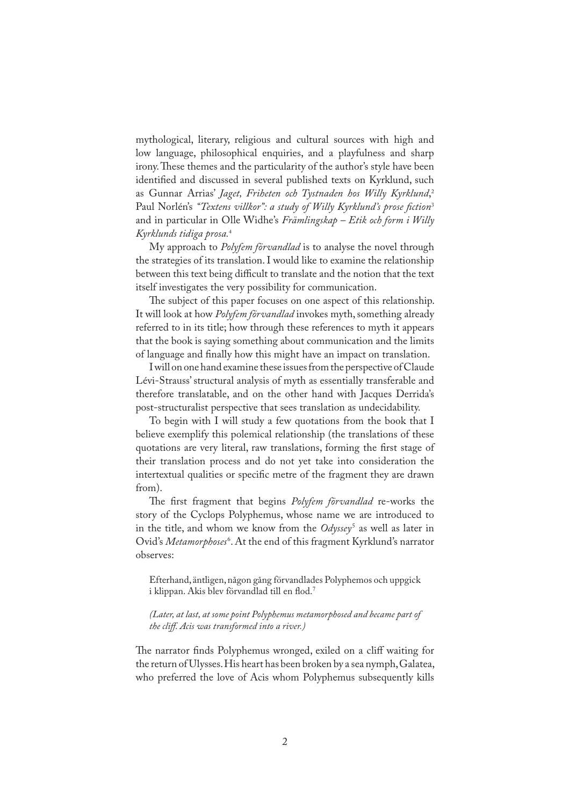mythological, literary, religious and cultural sources with high and low language, philosophical enquiries, and a playfulness and sharp irony. These themes and the particularity of the author's style have been identified and discussed in several published texts on Kyrklund, such as Gunnar Arrias' *Jaget, Friheten och Tystnaden hos Willy Kyrklund*, 2 Paul Norlén's "Textens villkor": a study of Willy Kyrklund's prose fiction<sup>3</sup> and in particular in Olle Widhe's *Främlingskap – Etik och form i Willy Kyrklunds tidiga prosa.*<sup>4</sup>

My approach to *Polyfem förvandlad* is to analyse the novel through the strategies of its translation. I would like to examine the relationship between this text being difficult to translate and the notion that the text itself investigates the very possibility for communication.

The subject of this paper focuses on one aspect of this relationship. It will look at how *Polyfem förvandlad* invokes myth, something already referred to in its title; how through these references to myth it appears that the book is saying something about communication and the limits of language and finally how this might have an impact on translation.

I will on one hand examine these issues from the perspective of Claude Lévi-Strauss' structural analysis of myth as essentially transferable and therefore translatable, and on the other hand with Jacques Derrida's post-structuralist perspective that sees translation as undecidability.

To begin with I will study a few quotations from the book that I believe exemplify this polemical relationship (the translations of these quotations are very literal, raw translations, forming the first stage of their translation process and do not yet take into consideration the intertextual qualities or specific metre of the fragment they are drawn from).

The first fragment that begins *Polyfem förvandlad* re-works the story of the Cyclops Polyphemus, whose name we are introduced to in the title, and whom we know from the *Odyssey*<sup>5</sup> as well as later in Ovid's *Metamorphoses*<sup>6</sup> . At the end of this fragment Kyrklund's narrator observes:

Efterhand, äntligen, någon gång förvandlades Polyphemos och uppgick i klippan. Akis blev förvandlad till en flod.<sup>7</sup>

*(Later, at last, at some point Polyphemus metamorphosed and became part of the cliff. Acis was transformed into a river.)*

The narrator finds Polyphemus wronged, exiled on a cliff waiting for the return of Ulysses. His heart has been broken by a sea nymph, Galatea, who preferred the love of Acis whom Polyphemus subsequently kills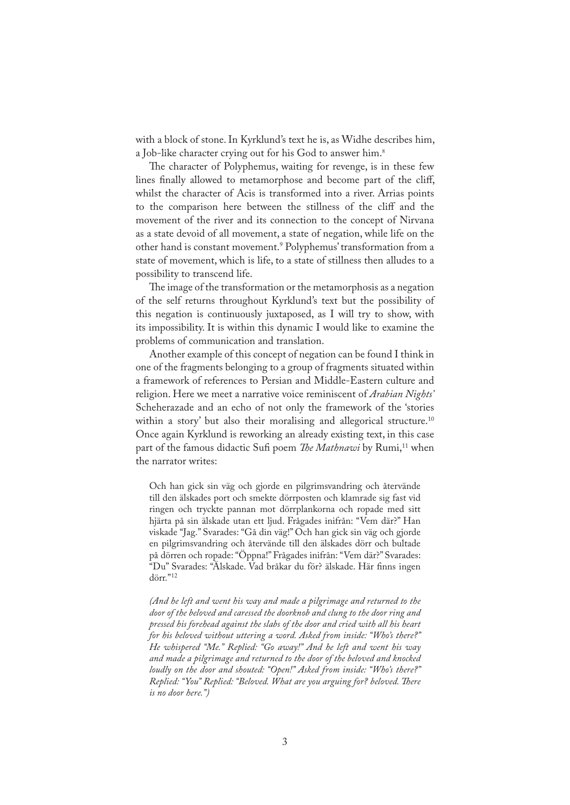with a block of stone. In Kyrklund's text he is, as Widhe describes him, a Job-like character crying out for his God to answer him.<sup>8</sup>

The character of Polyphemus, waiting for revenge, is in these few lines finally allowed to metamorphose and become part of the cliff, whilst the character of Acis is transformed into a river. Arrias points to the comparison here between the stillness of the cliff and the movement of the river and its connection to the concept of Nirvana as a state devoid of all movement, a state of negation, while life on the other hand is constant movement.9 Polyphemus' transformation from a state of movement, which is life, to a state of stillness then alludes to a possibility to transcend life.

The image of the transformation or the metamorphosis as a negation of the self returns throughout Kyrklund's text but the possibility of this negation is continuously juxtaposed, as I will try to show, with its impossibility. It is within this dynamic I would like to examine the problems of communication and translation.

Another example of this concept of negation can be found I think in one of the fragments belonging to a group of fragments situated within a framework of references to Persian and Middle-Eastern culture and religion. Here we meet a narrative voice reminiscent of *Arabian Nights'* Scheherazade and an echo of not only the framework of the 'stories within a story' but also their moralising and allegorical structure.<sup>10</sup> Once again Kyrklund is reworking an already existing text, in this case part of the famous didactic Sufi poem *The Mathnawi* by Rumi,<sup>11</sup> when the narrator writes:

Och han gick sin väg och gjorde en pilgrimsvandring och återvände till den älskades port och smekte dörrposten och klamrade sig fast vid ringen och tryckte pannan mot dörrplankorna och ropade med sitt hjärta på sin älskade utan ett ljud. Frågades inifrån: "Vem där?" Han viskade "Jag." Svarades: "Gå din väg!" Och han gick sin väg och gjorde en pilgrimsvandring och återvände till den älskades dörr och bultade på dörren och ropade: "Öppna!" Frågades inifrån: "Vem där?" Svarades: "Du" Svarades: "Älskade. Vad bråkar du för? älskade. Här �nns ingen dörr."<sup>12</sup>

*(And he left and went his way and made a pilgrimage and returned to the door of the beloved and caressed the doorknob and clung to the door ring and pressed his forehead against the slabs of the door and cried with all his heart for his beloved without uttering a word. Asked from inside: "Who's there?" He whispered "Me." Replied: "Go away!" And he left and went his way and made a pilgrimage and returned to the door of the beloved and knocked loudly on the door and shouted: "Open!" Asked from inside: "Who's there?" Replied: "You" Replied: "Beloved. What are you arguing for? beloved. There is no door here.")*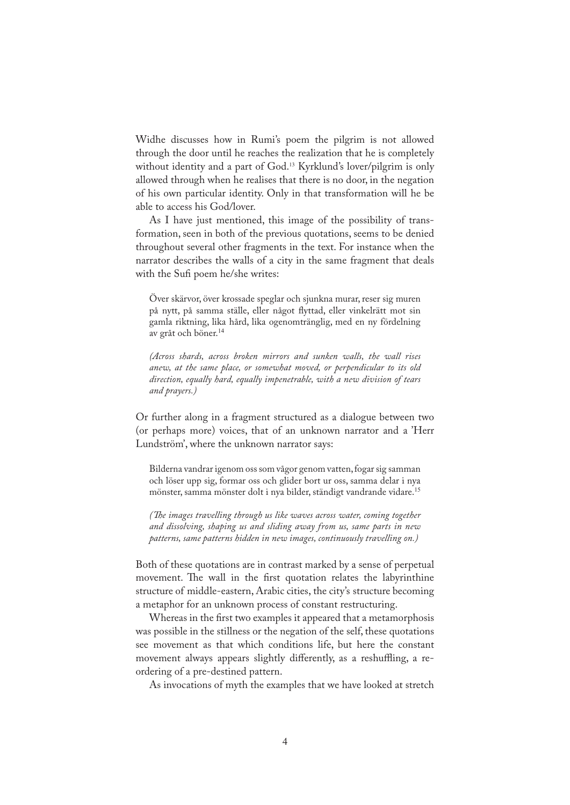Widhe discusses how in Rumi's poem the pilgrim is not allowed through the door until he reaches the realization that he is completely without identity and a part of God.<sup>13</sup> Kyrklund's lover/pilgrim is only allowed through when he realises that there is no door, in the negation of his own particular identity. Only in that transformation will he be able to access his God/lover.

As I have just mentioned, this image of the possibility of transformation, seen in both of the previous quotations, seems to be denied throughout several other fragments in the text. For instance when the narrator describes the walls of a city in the same fragment that deals with the Sufi poem he/she writes:

Över skärvor, över krossade speglar och sjunkna murar, reser sig muren på nytt, på samma ställe, eller något �yttad, eller vinkelrätt mot sin gamla riktning, lika hård, lika ogenomtränglig, med en ny fördelning av gråt och böner.<sup>14</sup>

*(Across shards, across broken mirrors and sunken walls, the wall rises anew, at the same place, or somewhat moved, or perpendicular to its old direction, equally hard, equally impenetrable, with a new division of tears and prayers.)*

Or further along in a fragment structured as a dialogue between two (or perhaps more) voices, that of an unknown narrator and a 'Herr Lundström', where the unknown narrator says:

Bilderna vandrar igenom oss som vågor genom vatten, fogar sig samman och löser upp sig, formar oss och glider bort ur oss, samma delar i nya mönster, samma mönster dolt i nya bilder, ständigt vandrande vidare.<sup>15</sup>

*(�e images travelling through us like waves across water, coming together and dissolving, shaping us and sliding away from us, same parts in new patterns, same patterns hidden in new images, continuously travelling on.)*

Both of these quotations are in contrast marked by a sense of perpetual movement. The wall in the first quotation relates the labyrinthine structure of middle-eastern, Arabic cities, the city's structure becoming a metaphor for an unknown process of constant restructuring.

Whereas in the first two examples it appeared that a metamorphosis was possible in the stillness or the negation of the self, these quotations see movement as that which conditions life, but here the constant movement always appears slightly differently, as a reshuffling, a reordering of a pre-destined pattern.

As invocations of myth the examples that we have looked at stretch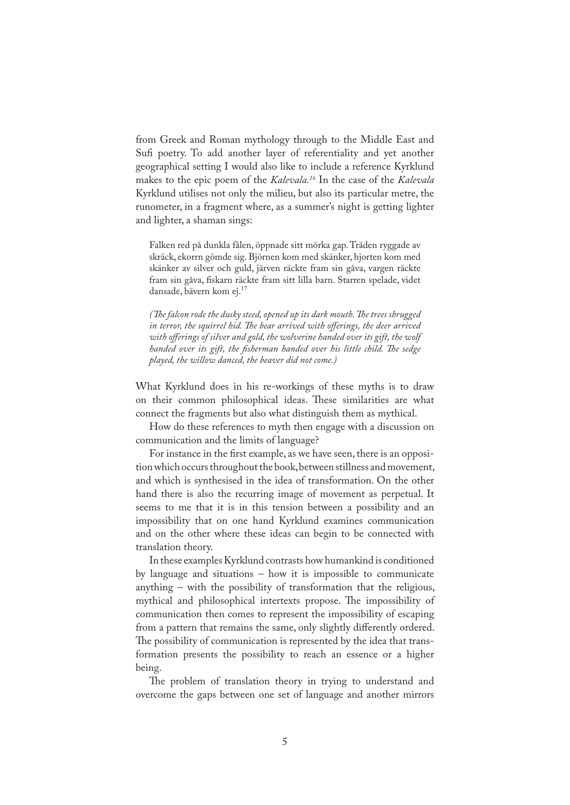from Greek and Roman mythology through to the Middle East and Sufi poetry. To add another layer of referentiality and yet another geographical setting I would also like to include a reference Kyrklund makes to the epic poem of the *Kalevala.16* In the case of the *Kalevala* Kyrklund utilises not only the milieu, but also its particular metre, the runometer, in a fragment where, as a summer's night is getting lighter and lighter, a shaman sings:

Falken red på dunkla fålen, öppnade sitt mörka gap. Träden ryggade av skräck, ekorrn gömde sig. Björnen kom med skänker, hjorten kom med skänker av silver och guld, järven räckte fram sin gåva, vargen räckte fram sin gåva, fiskarn räckte fram sitt lilla barn. Starren spelade, videt dansade, bävern kom ej.<sup>17</sup>

*(�e falcon rode the dusky steed, opened up its dark mouth. �e trees shrugged*  in terror, the squirrel hid. The bear arrived with offerings, the deer arrived *with offerings of silver and gold, the wolverine handed over its gift, the wolf handed over its gift, the fisherman handed over his little child. The sedge played, the willow danced, the beaver did not come.)* 

What Kyrklund does in his re-workings of these myths is to draw on their common philosophical ideas. These similarities are what connect the fragments but also what distinguish them as mythical.

How do these references to myth then engage with a discussion on communication and the limits of language?

For instance in the first example, as we have seen, there is an opposition which occurs throughout the book, between stillness and movement, and which is synthesised in the idea of transformation. On the other hand there is also the recurring image of movement as perpetual. It seems to me that it is in this tension between a possibility and an impossibility that on one hand Kyrklund examines communication and on the other where these ideas can begin to be connected with translation theory.

In these examples Kyrklund contrasts how humankind is conditioned by language and situations – how it is impossible to communicate anything – with the possibility of transformation that the religious, mythical and philosophical intertexts propose. The impossibility of communication then comes to represent the impossibility of escaping from a pattern that remains the same, only slightly differently ordered. �e possibility of communication is represented by the idea that transformation presents the possibility to reach an essence or a higher being.

The problem of translation theory in trying to understand and overcome the gaps between one set of language and another mirrors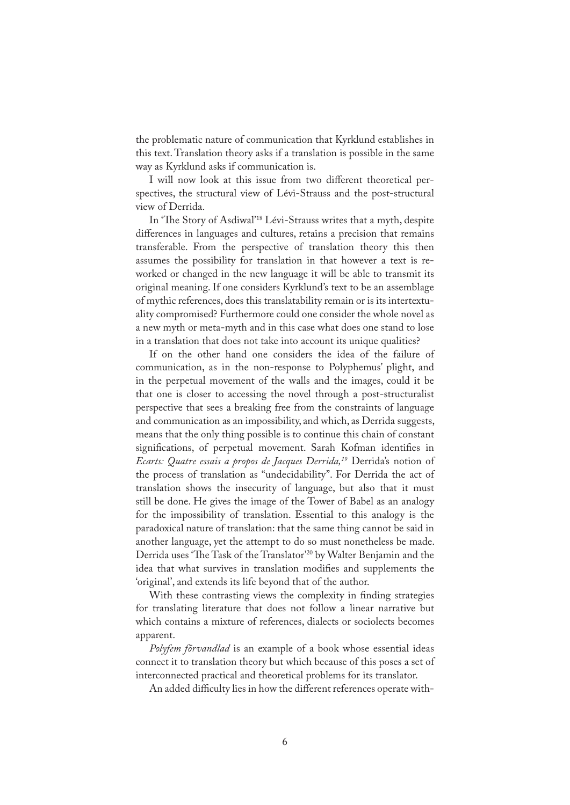the problematic nature of communication that Kyrklund establishes in this text. Translation theory asks if a translation is possible in the same way as Kyrklund asks if communication is.

I will now look at this issue from two different theoretical perspectives, the structural view of Lévi-Strauss and the post-structural view of Derrida.

In 'The Story of Asdiwal'<sup>18</sup> Lévi-Strauss writes that a myth, despite differences in languages and cultures, retains a precision that remains transferable. From the perspective of translation theory this then assumes the possibility for translation in that however a text is reworked or changed in the new language it will be able to transmit its original meaning. If one considers Kyrklund's text to be an assemblage of mythic references, does this translatability remain or is its intertextuality compromised? Furthermore could one consider the whole novel as a new myth or meta-myth and in this case what does one stand to lose in a translation that does not take into account its unique qualities?

If on the other hand one considers the idea of the failure of communication, as in the non-response to Polyphemus' plight, and in the perpetual movement of the walls and the images, could it be that one is closer to accessing the novel through a post-structuralist perspective that sees a breaking free from the constraints of language and communication as an impossibility, and which, as Derrida suggests, means that the only thing possible is to continue this chain of constant significations, of perpetual movement. Sarah Kofman identifies in *Ecarts: Quatre essais a propos de Jacques Derrida,19* Derrida's notion of the process of translation as "undecidability". For Derrida the act of translation shows the insecurity of language, but also that it must still be done. He gives the image of the Tower of Babel as an analogy for the impossibility of translation. Essential to this analogy is the paradoxical nature of translation: that the same thing cannot be said in another language, yet the attempt to do so must nonetheless be made. Derrida uses 'The Task of the Translator<sup>'20</sup> by Walter Benjamin and the idea that what survives in translation modifies and supplements the 'original', and extends its life beyond that of the author.

With these contrasting views the complexity in finding strategies for translating literature that does not follow a linear narrative but which contains a mixture of references, dialects or sociolects becomes apparent.

*Polyfem förvandlad* is an example of a book whose essential ideas connect it to translation theory but which because of this poses a set of interconnected practical and theoretical problems for its translator.

An added difficulty lies in how the different references operate with-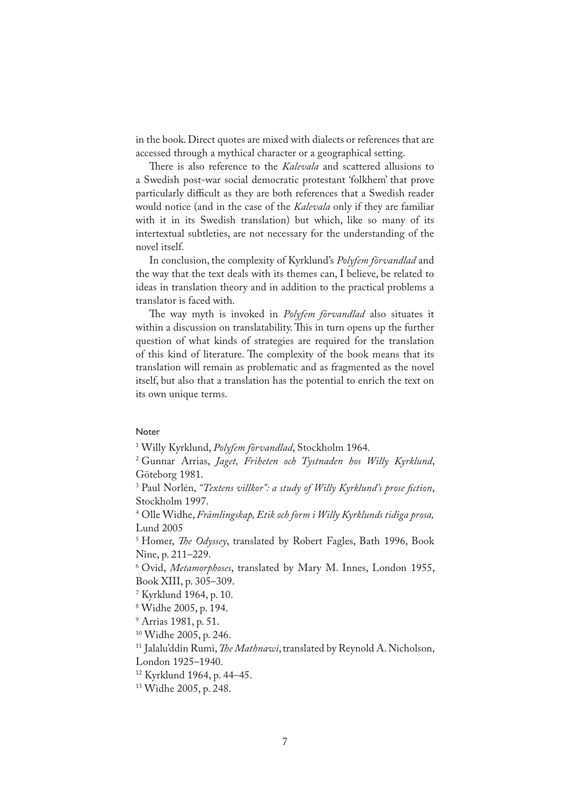in the book. Direct quotes are mixed with dialects or references that are accessed through a mythical character or a geographical setting.

�ere is also reference to the *Kalevala* and scattered allusions to a Swedish post-war social democratic protestant 'folkhem' that prove particularly difficult as they are both references that a Swedish reader would notice (and in the case of the *Kalevala* only if they are familiar with it in its Swedish translation) but which, like so many of its intertextual subtleties, are not necessary for the understanding of the novel itself.

In conclusion, the complexity of Kyrklund's *Polyfem förvandlad* and the way that the text deals with its themes can, I believe, be related to ideas in translation theory and in addition to the practical problems a translator is faced with.

�e way myth is invoked in *Polyfem förvandlad* also situates it within a discussion on translatability. This in turn opens up the further question of what kinds of strategies are required for the translation of this kind of literature. The complexity of the book means that its translation will remain as problematic and as fragmented as the novel itself, but also that a translation has the potential to enrich the text on its own unique terms.

## Noter

1 Willy Kyrklund, *Polyfem förvandlad*, Stockholm 1964.

2 Gunnar Arrias, *Jaget, Friheten och Tystnaden hos Willy Kyrklund*, Göteborg 1981.

<sup>3</sup> Paul Norlén, "*Textens villkor": a study of Willy Kyrklund's prose fiction*, Stockholm 1997.

4 Olle Widhe, *Främlingskap, Etik och form i Willy Kyrklunds tidiga prosa,* Lund 2005

5 Homer, *�e Odyssey*, translated by Robert Fagles, Bath 1996, Book Nine, p. 211–229.

6 Ovid, *Metamorphoses*, translated by Mary M. Innes, London 1955, Book XIII, p. 305–309.

7 Kyrklund 1964, p. 10.

8 Widhe 2005, p. 194.

9 Arrias 1981, p. 51.

10 Widhe 2005, p. 246.

<sup>11</sup> Jalalu'ddin Rumi, *The Mathnawi*, translated by Reynold A. Nicholson, London 1925–1940.

12 Kyrklund 1964, p. 44–45.

13 Widhe 2005, p. 248.